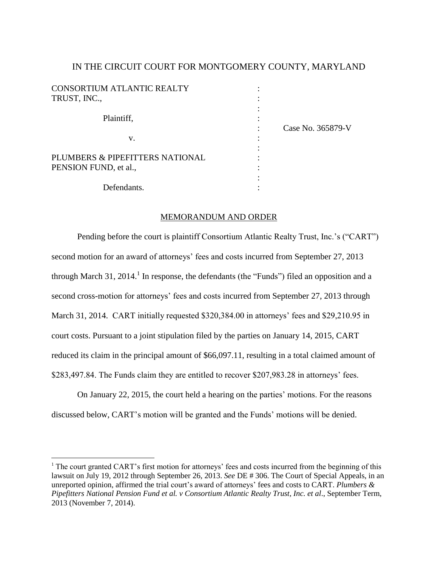# IN THE CIRCUIT COURT FOR MONTGOMERY COUNTY, MARYLAND

| <b>CONSORTIUM ATLANTIC REALTY</b><br>TRUST, INC.,        |                   |
|----------------------------------------------------------|-------------------|
| Plaintiff,                                               | Case No. 365879-V |
| V.                                                       |                   |
| PLUMBERS & PIPEFITTERS NATIONAL<br>PENSION FUND, et al., |                   |
| Defendants.                                              |                   |

### MEMORANDUM AND ORDER

Pending before the court is plaintiff Consortium Atlantic Realty Trust, Inc.'s ("CART") second motion for an award of attorneys' fees and costs incurred from September 27, 2013 through March 31, 2014.<sup>1</sup> In response, the defendants (the "Funds") filed an opposition and a second cross-motion for attorneys' fees and costs incurred from September 27, 2013 through March 31, 2014. CART initially requested \$320,384.00 in attorneys' fees and \$29,210.95 in court costs. Pursuant to a joint stipulation filed by the parties on January 14, 2015, CART reduced its claim in the principal amount of \$66,097.11, resulting in a total claimed amount of \$283,497.84. The Funds claim they are entitled to recover \$207,983.28 in attorneys' fees.

On January 22, 2015, the court held a hearing on the parties' motions. For the reasons discussed below, CART's motion will be granted and the Funds' motions will be denied.

<sup>&</sup>lt;sup>1</sup> The court granted CART's first motion for attorneys' fees and costs incurred from the beginning of this lawsuit on July 19, 2012 through September 26, 2013. *See* DE # 306. The Court of Special Appeals, in an unreported opinion, affirmed the trial court's award of attorneys' fees and costs to CART. *Plumbers & Pipefitters National Pension Fund et al. v Consortium Atlantic Realty Trust, Inc. et al*., September Term, 2013 (November 7, 2014).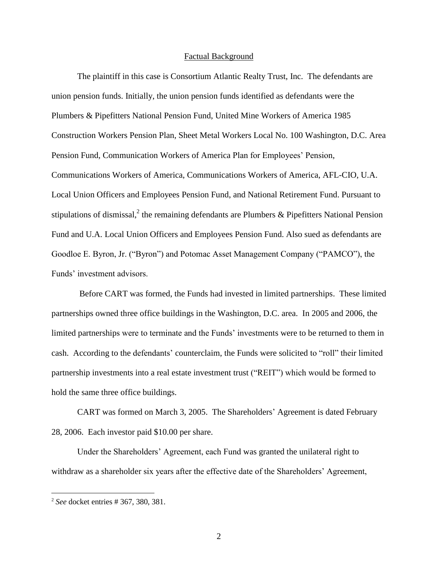#### Factual Background

The plaintiff in this case is Consortium Atlantic Realty Trust, Inc. The defendants are union pension funds. Initially, the union pension funds identified as defendants were the Plumbers & Pipefitters National Pension Fund, United Mine Workers of America 1985 Construction Workers Pension Plan, Sheet Metal Workers Local No. 100 Washington, D.C. Area Pension Fund, Communication Workers of America Plan for Employees' Pension, Communications Workers of America, Communications Workers of America, AFL-CIO, U.A. Local Union Officers and Employees Pension Fund, and National Retirement Fund. Pursuant to stipulations of dismissal,<sup>2</sup> the remaining defendants are Plumbers & Pipefitters National Pension Fund and U.A. Local Union Officers and Employees Pension Fund. Also sued as defendants are Goodloe E. Byron, Jr. ("Byron") and Potomac Asset Management Company ("PAMCO"), the Funds' investment advisors.

Before CART was formed, the Funds had invested in limited partnerships. These limited partnerships owned three office buildings in the Washington, D.C. area. In 2005 and 2006, the limited partnerships were to terminate and the Funds' investments were to be returned to them in cash. According to the defendants' counterclaim, the Funds were solicited to "roll" their limited partnership investments into a real estate investment trust ("REIT") which would be formed to hold the same three office buildings.

CART was formed on March 3, 2005. The Shareholders' Agreement is dated February 28, 2006. Each investor paid \$10.00 per share.

Under the Shareholders' Agreement, each Fund was granted the unilateral right to withdraw as a shareholder six years after the effective date of the Shareholders' Agreement,

<sup>2</sup> *See* docket entries # 367, 380, 381.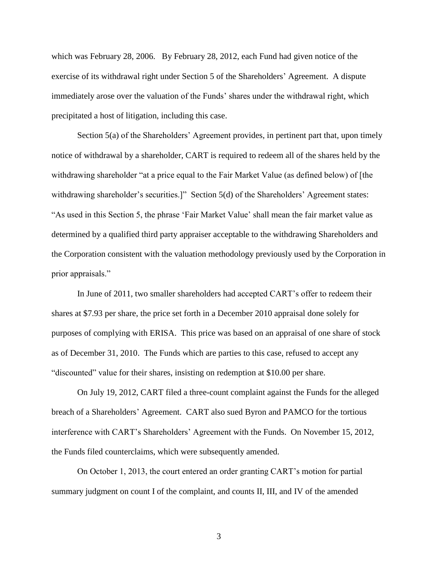which was February 28, 2006. By February 28, 2012, each Fund had given notice of the exercise of its withdrawal right under Section 5 of the Shareholders' Agreement. A dispute immediately arose over the valuation of the Funds' shares under the withdrawal right, which precipitated a host of litigation, including this case.

Section 5(a) of the Shareholders' Agreement provides, in pertinent part that, upon timely notice of withdrawal by a shareholder, CART is required to redeem all of the shares held by the withdrawing shareholder "at a price equal to the Fair Market Value (as defined below) of [the withdrawing shareholder's securities.]" Section 5(d) of the Shareholders' Agreement states: "As used in this Section 5, the phrase 'Fair Market Value' shall mean the fair market value as determined by a qualified third party appraiser acceptable to the withdrawing Shareholders and the Corporation consistent with the valuation methodology previously used by the Corporation in prior appraisals."

In June of 2011, two smaller shareholders had accepted CART's offer to redeem their shares at \$7.93 per share, the price set forth in a December 2010 appraisal done solely for purposes of complying with ERISA. This price was based on an appraisal of one share of stock as of December 31, 2010. The Funds which are parties to this case, refused to accept any "discounted" value for their shares, insisting on redemption at \$10.00 per share.

On July 19, 2012, CART filed a three-count complaint against the Funds for the alleged breach of a Shareholders' Agreement. CART also sued Byron and PAMCO for the tortious interference with CART's Shareholders' Agreement with the Funds. On November 15, 2012, the Funds filed counterclaims, which were subsequently amended.

On October 1, 2013, the court entered an order granting CART's motion for partial summary judgment on count I of the complaint, and counts II, III, and IV of the amended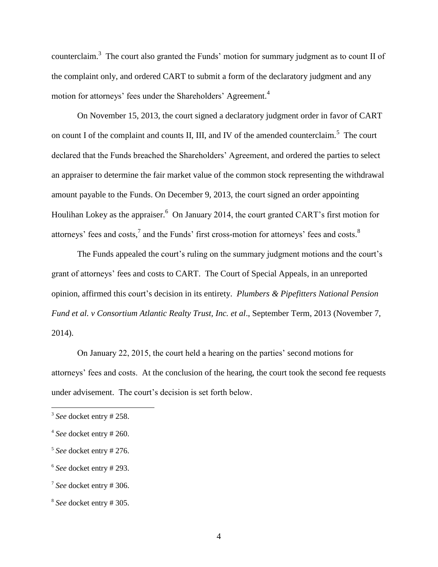counterclaim.<sup>3</sup> The court also granted the Funds' motion for summary judgment as to count II of the complaint only, and ordered CART to submit a form of the declaratory judgment and any motion for attorneys' fees under the Shareholders' Agreement.<sup>4</sup>

On November 15, 2013, the court signed a declaratory judgment order in favor of CART on count I of the complaint and counts II, III, and IV of the amended counterclaim.<sup>5</sup> The court declared that the Funds breached the Shareholders' Agreement, and ordered the parties to select an appraiser to determine the fair market value of the common stock representing the withdrawal amount payable to the Funds. On December 9, 2013, the court signed an order appointing Houlihan Lokey as the appraiser.<sup>6</sup> On January 2014, the court granted CART's first motion for attorneys' fees and costs,<sup>7</sup> and the Funds' first cross-motion for attorneys' fees and costs.<sup>8</sup>

The Funds appealed the court's ruling on the summary judgment motions and the court's grant of attorneys' fees and costs to CART. The Court of Special Appeals, in an unreported opinion, affirmed this court's decision in its entirety. *Plumbers & Pipefitters National Pension Fund et al. v Consortium Atlantic Realty Trust, Inc. et al*., September Term, 2013 (November 7, 2014).

On January 22, 2015, the court held a hearing on the parties' second motions for attorneys' fees and costs. At the conclusion of the hearing, the court took the second fee requests under advisement. The court's decision is set forth below.

<sup>3</sup> *See* docket entry # 258.

<sup>4</sup> *See* docket entry # 260.

<sup>5</sup> *See* docket entry # 276.

<sup>6</sup> *See* docket entry # 293.

<sup>7</sup> *See* docket entry # 306.

<sup>8</sup> *See* docket entry # 305.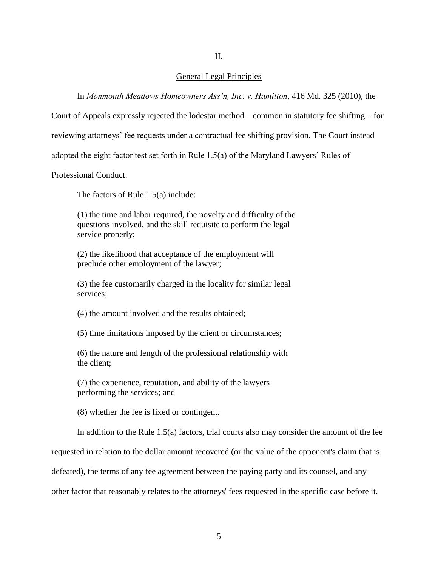### II.

### General Legal Principles

In *Monmouth Meadows Homeowners Ass'n, Inc. v. Hamilton*, 416 Md. 325 (2010), the

Court of Appeals expressly rejected the lodestar method – common in statutory fee shifting – for

reviewing attorneys' fee requests under a contractual fee shifting provision. The Court instead

adopted the eight factor test set forth in Rule 1.5(a) of the Maryland Lawyers' Rules of

Professional Conduct.

The factors of Rule 1.5(a) include:

(1) the time and labor required, the novelty and difficulty of the questions involved, and the skill requisite to perform the legal service properly;

(2) the likelihood that acceptance of the employment will preclude other employment of the lawyer;

(3) the fee customarily charged in the locality for similar legal services;

(4) the amount involved and the results obtained;

(5) time limitations imposed by the client or circumstances;

(6) the nature and length of the professional relationship with the client;

(7) the experience, reputation, and ability of the lawyers performing the services; and

(8) whether the fee is fixed or contingent.

In addition to the Rule 1.5(a) factors, trial courts also may consider the amount of the fee

requested in relation to the dollar amount recovered (or the value of the opponent's claim that is

defeated), the terms of any fee agreement between the paying party and its counsel, and any

other factor that reasonably relates to the attorneys' fees requested in the specific case before it.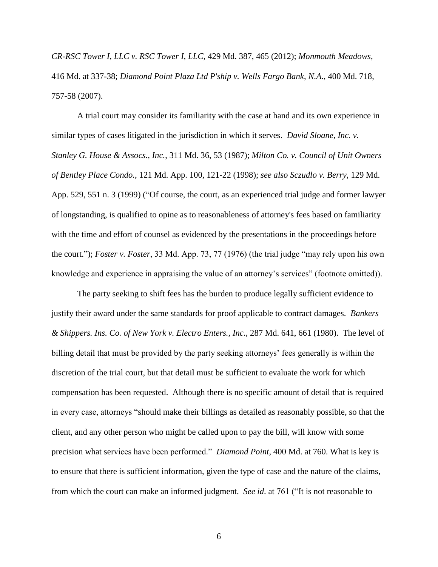*CR-RSC Tower I, LLC v. RSC Tower I, LLC*, 429 Md. 387, 465 (2012); *Monmouth Meadows*, 416 Md. at 337-38; *Diamond Point Plaza Ltd P'ship v. Wells Fargo Bank*, *N.A*., 400 Md. 718, 757-58 (2007).

A trial court may consider its familiarity with the case at hand and its own experience in similar types of cases litigated in the jurisdiction in which it serves. *David Sloane, Inc. v. Stanley G. House & Assocs., Inc.*, 311 Md. 36, 53 (1987); *Milton Co. v. Council of Unit Owners of Bentley Place Condo.*, 121 Md. App. 100, 121-22 (1998); *see also Sczudlo v. Berry*, 129 Md. App. 529, 551 n. 3 (1999) ("Of course, the court, as an experienced trial judge and former lawyer of longstanding, is qualified to opine as to reasonableness of attorney's fees based on familiarity with the time and effort of counsel as evidenced by the presentations in the proceedings before the court."); *Foster v. Foster*, 33 Md. App. 73, 77 (1976) (the trial judge "may rely upon his own knowledge and experience in appraising the value of an attorney's services" (footnote omitted)).

The party seeking to shift fees has the burden to produce legally sufficient evidence to justify their award under the same standards for proof applicable to contract damages. *Bankers & Shippers. Ins. Co. of New York v. Electro Enters., Inc*., 287 Md. 641, 661 (1980). The level of billing detail that must be provided by the party seeking attorneys' fees generally is within the discretion of the trial court, but that detail must be sufficient to evaluate the work for which compensation has been requested. Although there is no specific amount of detail that is required in every case, attorneys "should make their billings as detailed as reasonably possible, so that the client, and any other person who might be called upon to pay the bill, will know with some precision what services have been performed." *Diamond Point*, 400 Md. at 760. What is key is to ensure that there is sufficient information, given the type of case and the nature of the claims, from which the court can make an informed judgment. *See id*. at 761 ("It is not reasonable to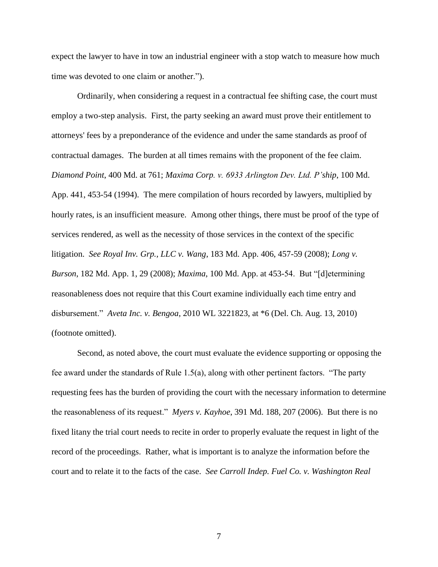expect the lawyer to have in tow an industrial engineer with a stop watch to measure how much time was devoted to one claim or another.").

Ordinarily, when considering a request in a contractual fee shifting case, the court must employ a two-step analysis. First, the party seeking an award must prove their entitlement to attorneys' fees by a preponderance of the evidence and under the same standards as proof of contractual damages. The burden at all times remains with the proponent of the fee claim. *Diamond Point*, 400 Md. at 761; *Maxima Corp. v. 6933 Arlington Dev. Ltd. P'ship*, 100 Md. App. 441, 453-54 (1994). The mere compilation of hours recorded by lawyers, multiplied by hourly rates, is an insufficient measure. Among other things, there must be proof of the type of services rendered, as well as the necessity of those services in the context of the specific litigation. *See Royal Inv. Grp., LLC v. Wang*, 183 Md. App. 406, 457-59 (2008); *Long v. Burson*, 182 Md. App. 1, 29 (2008); *Maxima*, 100 Md. App. at 453-54. But "[d]etermining reasonableness does not require that this Court examine individually each time entry and disbursement." *Aveta Inc. v. Bengoa*, 2010 WL 3221823, at \*6 (Del. Ch. Aug. 13, 2010) (footnote omitted).

Second, as noted above, the court must evaluate the evidence supporting or opposing the fee award under the standards of Rule 1.5(a), along with other pertinent factors. "The party requesting fees has the burden of providing the court with the necessary information to determine the reasonableness of its request." *Myers v. Kayhoe*, 391 Md. 188, 207 (2006). But there is no fixed litany the trial court needs to recite in order to properly evaluate the request in light of the record of the proceedings. Rather, what is important is to analyze the information before the court and to relate it to the facts of the case. *See Carroll Indep. Fuel Co. v. Washington Real*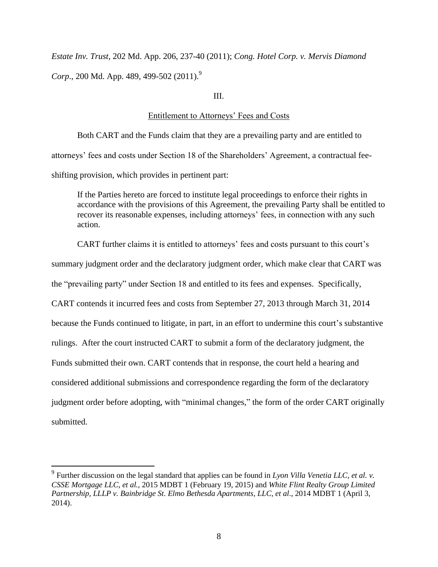*Estate Inv. Trust*, 202 Md. App. 206, 237-40 (2011); *Cong. Hotel Corp. v. Mervis Diamond Corp.*, 200 Md. App. 489, 499-502 (2011).<sup>9</sup>

# III.

### Entitlement to Attorneys' Fees and Costs

Both CART and the Funds claim that they are a prevailing party and are entitled to attorneys' fees and costs under Section 18 of the Shareholders' Agreement, a contractual feeshifting provision, which provides in pertinent part:

If the Parties hereto are forced to institute legal proceedings to enforce their rights in accordance with the provisions of this Agreement, the prevailing Party shall be entitled to recover its reasonable expenses, including attorneys' fees, in connection with any such action.

CART further claims it is entitled to attorneys' fees and costs pursuant to this court's summary judgment order and the declaratory judgment order, which make clear that CART was the "prevailing party" under Section 18 and entitled to its fees and expenses. Specifically, CART contends it incurred fees and costs from September 27, 2013 through March 31, 2014 because the Funds continued to litigate, in part, in an effort to undermine this court's substantive rulings. After the court instructed CART to submit a form of the declaratory judgment, the Funds submitted their own. CART contends that in response, the court held a hearing and considered additional submissions and correspondence regarding the form of the declaratory judgment order before adopting, with "minimal changes," the form of the order CART originally submitted.

<sup>9</sup> Further discussion on the legal standard that applies can be found in *Lyon Villa Venetia LLC, et al. v. CSSE Mortgage LLC, et al.*, 2015 MDBT 1 (February 19, 2015) and *White Flint Realty Group Limited Partnership, LLLP v. Bainbridge St. Elmo Bethesda Apartments, LLC, et al*., 2014 MDBT 1 (April 3, 2014).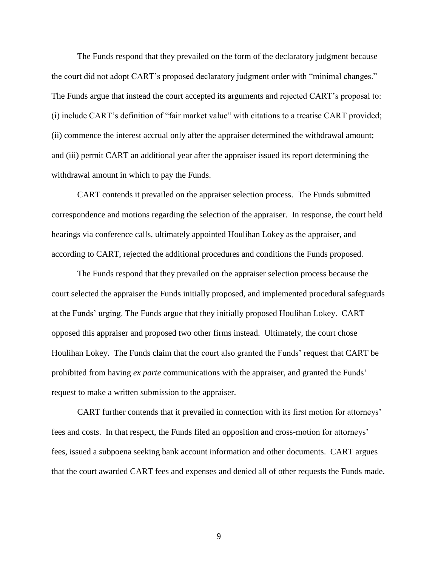The Funds respond that they prevailed on the form of the declaratory judgment because the court did not adopt CART's proposed declaratory judgment order with "minimal changes." The Funds argue that instead the court accepted its arguments and rejected CART's proposal to: (i) include CART's definition of "fair market value" with citations to a treatise CART provided; (ii) commence the interest accrual only after the appraiser determined the withdrawal amount; and (iii) permit CART an additional year after the appraiser issued its report determining the withdrawal amount in which to pay the Funds.

CART contends it prevailed on the appraiser selection process. The Funds submitted correspondence and motions regarding the selection of the appraiser. In response, the court held hearings via conference calls, ultimately appointed Houlihan Lokey as the appraiser, and according to CART, rejected the additional procedures and conditions the Funds proposed.

The Funds respond that they prevailed on the appraiser selection process because the court selected the appraiser the Funds initially proposed, and implemented procedural safeguards at the Funds' urging. The Funds argue that they initially proposed Houlihan Lokey. CART opposed this appraiser and proposed two other firms instead. Ultimately, the court chose Houlihan Lokey. The Funds claim that the court also granted the Funds' request that CART be prohibited from having *ex parte* communications with the appraiser, and granted the Funds' request to make a written submission to the appraiser.

CART further contends that it prevailed in connection with its first motion for attorneys' fees and costs. In that respect, the Funds filed an opposition and cross-motion for attorneys' fees, issued a subpoena seeking bank account information and other documents. CART argues that the court awarded CART fees and expenses and denied all of other requests the Funds made.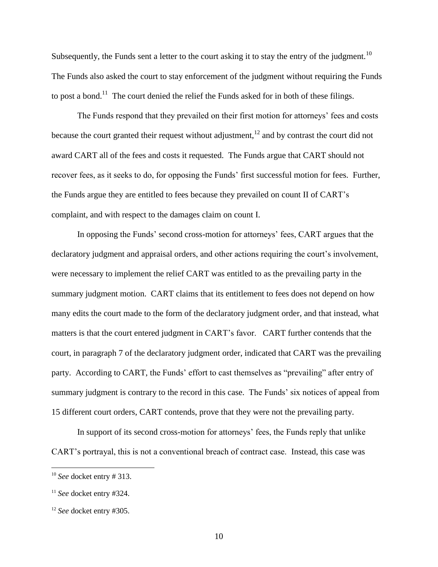Subsequently, the Funds sent a letter to the court asking it to stay the entry of the judgment.<sup>10</sup> The Funds also asked the court to stay enforcement of the judgment without requiring the Funds to post a bond.<sup>11</sup> The court denied the relief the Funds asked for in both of these filings.

The Funds respond that they prevailed on their first motion for attorneys' fees and costs because the court granted their request without adjustment,  $^{12}$  and by contrast the court did not award CART all of the fees and costs it requested. The Funds argue that CART should not recover fees, as it seeks to do, for opposing the Funds' first successful motion for fees. Further, the Funds argue they are entitled to fees because they prevailed on count II of CART's complaint, and with respect to the damages claim on count I.

In opposing the Funds' second cross-motion for attorneys' fees, CART argues that the declaratory judgment and appraisal orders, and other actions requiring the court's involvement, were necessary to implement the relief CART was entitled to as the prevailing party in the summary judgment motion. CART claims that its entitlement to fees does not depend on how many edits the court made to the form of the declaratory judgment order, and that instead, what matters is that the court entered judgment in CART's favor. CART further contends that the court, in paragraph 7 of the declaratory judgment order, indicated that CART was the prevailing party. According to CART, the Funds' effort to cast themselves as "prevailing" after entry of summary judgment is contrary to the record in this case. The Funds' six notices of appeal from 15 different court orders, CART contends, prove that they were not the prevailing party.

In support of its second cross-motion for attorneys' fees, the Funds reply that unlike CART's portrayal, this is not a conventional breach of contract case. Instead, this case was

<sup>10</sup> *See* docket entry # 313.

<sup>11</sup> *See* docket entry #324.

<sup>12</sup> *See* docket entry #305.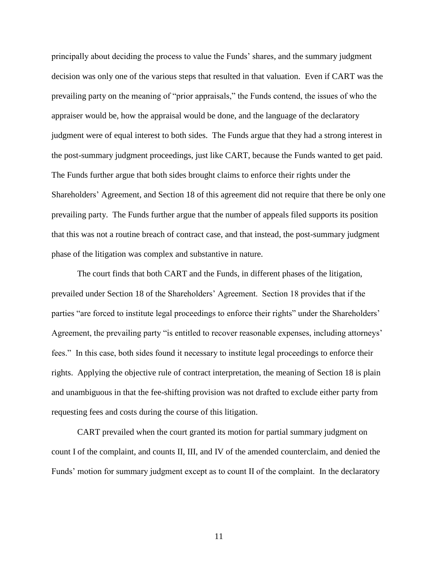principally about deciding the process to value the Funds' shares, and the summary judgment decision was only one of the various steps that resulted in that valuation. Even if CART was the prevailing party on the meaning of "prior appraisals," the Funds contend, the issues of who the appraiser would be, how the appraisal would be done, and the language of the declaratory judgment were of equal interest to both sides. The Funds argue that they had a strong interest in the post-summary judgment proceedings, just like CART, because the Funds wanted to get paid. The Funds further argue that both sides brought claims to enforce their rights under the Shareholders' Agreement, and Section 18 of this agreement did not require that there be only one prevailing party. The Funds further argue that the number of appeals filed supports its position that this was not a routine breach of contract case, and that instead, the post-summary judgment phase of the litigation was complex and substantive in nature.

The court finds that both CART and the Funds, in different phases of the litigation, prevailed under Section 18 of the Shareholders' Agreement. Section 18 provides that if the parties "are forced to institute legal proceedings to enforce their rights" under the Shareholders' Agreement, the prevailing party "is entitled to recover reasonable expenses, including attorneys' fees." In this case, both sides found it necessary to institute legal proceedings to enforce their rights. Applying the objective rule of contract interpretation, the meaning of Section 18 is plain and unambiguous in that the fee-shifting provision was not drafted to exclude either party from requesting fees and costs during the course of this litigation.

CART prevailed when the court granted its motion for partial summary judgment on count I of the complaint, and counts II, III, and IV of the amended counterclaim, and denied the Funds' motion for summary judgment except as to count II of the complaint. In the declaratory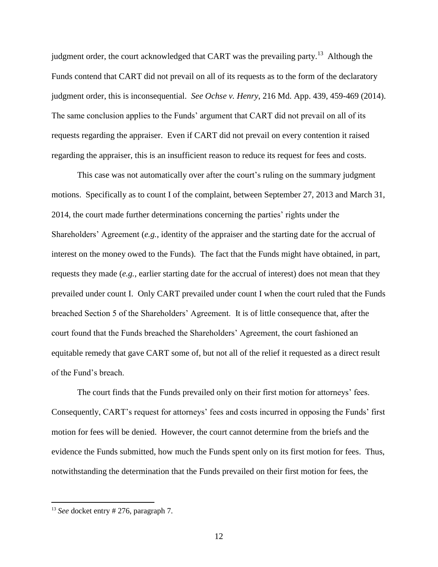judgment order, the court acknowledged that CART was the prevailing party.<sup>13</sup> Although the Funds contend that CART did not prevail on all of its requests as to the form of the declaratory judgment order, this is inconsequential. *See Ochse v. Henry*, 216 Md. App. 439, 459-469 (2014). The same conclusion applies to the Funds' argument that CART did not prevail on all of its requests regarding the appraiser. Even if CART did not prevail on every contention it raised regarding the appraiser, this is an insufficient reason to reduce its request for fees and costs.

This case was not automatically over after the court's ruling on the summary judgment motions. Specifically as to count I of the complaint, between September 27, 2013 and March 31, 2014, the court made further determinations concerning the parties' rights under the Shareholders' Agreement (*e.g.*, identity of the appraiser and the starting date for the accrual of interest on the money owed to the Funds). The fact that the Funds might have obtained, in part, requests they made (*e.g.*, earlier starting date for the accrual of interest) does not mean that they prevailed under count I. Only CART prevailed under count I when the court ruled that the Funds breached Section 5 of the Shareholders' Agreement. It is of little consequence that, after the court found that the Funds breached the Shareholders' Agreement, the court fashioned an equitable remedy that gave CART some of, but not all of the relief it requested as a direct result of the Fund's breach.

The court finds that the Funds prevailed only on their first motion for attorneys' fees. Consequently, CART's request for attorneys' fees and costs incurred in opposing the Funds' first motion for fees will be denied. However, the court cannot determine from the briefs and the evidence the Funds submitted, how much the Funds spent only on its first motion for fees. Thus, notwithstanding the determination that the Funds prevailed on their first motion for fees, the

<sup>&</sup>lt;sup>13</sup> *See* docket entry # 276, paragraph 7.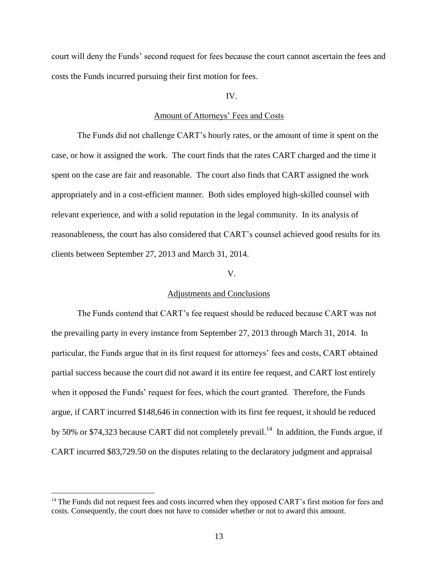court will deny the Funds' second request for fees because the court cannot ascertain the fees and costs the Funds incurred pursuing their first motion for fees.

IV.

### Amount of Attorneys' Fees and Costs

The Funds did not challenge CART's hourly rates, or the amount of time it spent on the case, or how it assigned the work. The court finds that the rates CART charged and the time it spent on the case are fair and reasonable. The court also finds that CART assigned the work appropriately and in a cost-efficient manner. Both sides employed high-skilled counsel with relevant experience, and with a solid reputation in the legal community. In its analysis of reasonableness, the court has also considered that CART's counsel achieved good results for its clients between September 27, 2013 and March 31, 2014.

### V.

### Adjustments and Conclusions

The Funds contend that CART's fee request should be reduced because CART was not the prevailing party in every instance from September 27, 2013 through March 31, 2014. In particular, the Funds argue that in its first request for attorneys' fees and costs, CART obtained partial success because the court did not award it its entire fee request, and CART lost entirely when it opposed the Funds' request for fees, which the court granted. Therefore, the Funds argue, if CART incurred \$148,646 in connection with its first fee request, it should be reduced by 50% or \$74,323 because CART did not completely prevail.<sup>14</sup> In addition, the Funds argue, if CART incurred \$83,729.50 on the disputes relating to the declaratory judgment and appraisal

<sup>&</sup>lt;sup>14</sup> The Funds did not request fees and costs incurred when they opposed CART's first motion for fees and costs. Consequently, the court does not have to consider whether or not to award this amount.